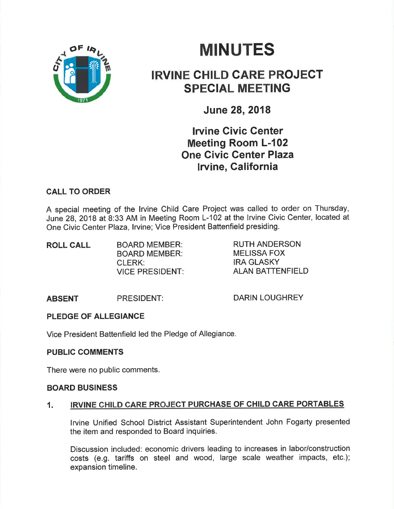# **MINUTES**



## IRVINE CHILD CARE PROJECT SPEGIAL MEETING

June 28,2018

### **Irvine Civic Center** Meeting Room L-102 One Givic Center Plaza lrvine, Galifornia

#### CALL TO ORDER

A special meeting of the lrvine Child Care Project was called to order on Thursday, June 28, 2018 at 8:33 AM in Meeting Room L-102 at the lrvine Civic Center, located at One Civic Center Plaza, Irvine: Vice President Battenfield presiding.

| <b>ROLL CALL</b> | <b>BOARD MEMBER:</b>   |
|------------------|------------------------|
|                  | <b>BOARD MEMBER:</b>   |
|                  | <b>CLERK:</b>          |
|                  | <b>VICE PRESIDENT:</b> |

RUTH ANDERSON MELISSA FOX IRA GLASKY ALAN BATTENFIELD

#### ABSENT PRESIDENT: DARIN LOUGHREY

#### PLEDGE OF ALLEGIANCE

Vice President Battenfield led the Pledge of Allegiance.

#### PUBLIC COMMENTS

There were no public comments.

#### BOARD BUSINESS

#### 1. IRVINE CHILD CARE PROJECT PURCHASE OF CHILD CARE PORTABLES

lrvine Unified School District Assistant Superintendent John Fogarty presented the item and responded to Board inquiries.

Discussion included: economic drivers leading to increases in labor/construction costs (e.g. tariffs on steel and wood, large scale weather impacts, etc.); expansion timeline.